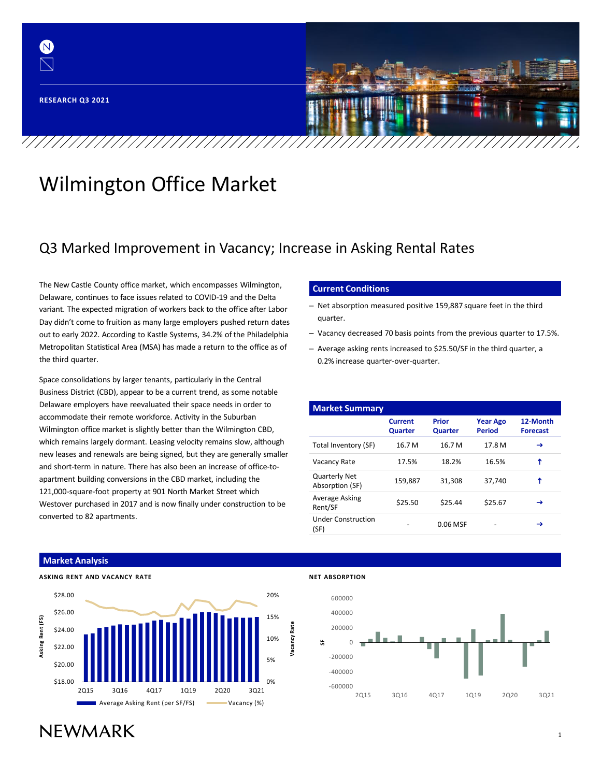

# Wilmington Office Market

# Q3 Marked Improvement in Vacancy; Increase in Asking Rental Rates

The New Castle County office market, which encompasses Wilmington, Delaware, continues to face issues related to COVID-19 and the Delta variant. The expected migration of workers back to the office after Labor Day didn't come to fruition as many large employers pushed return dates out to early 2022. According to Kastle Systems, 34.2% of the Philadelphia Metropolitan Statistical Area (MSA) has made a return to the office as of the third quarter.

Space consolidations by larger tenants, particularly in the Central Business District (CBD), appear to be a current trend, as some notable Delaware employers have reevaluated their space needs in order to accommodate their remote workforce. Activity in the Suburban Wilmington office market is slightly better than the Wilmington CBD, which remains largely dormant. Leasing velocity remains slow, although new leases and renewals are being signed, but they are generally smaller and short-term in nature. There has also been an increase of office-toapartment building conversions in the CBD market, including the 121,000-square-foot property at 901 North Market Street which Westover purchased in 2017 and is now finally under construction to be converted to 82 apartments.

#### **Current Conditions**

- Net absorption measured positive 159,887 square feet in the third quarter.
- Vacancy decreased 70 basis points from the previous quarter to 17.5%.
- Average asking rents increased to \$25.50/SF in the third quarter, a 0.2% increase quarter-over-quarter.

| <b>Market Summary</b>                   |                           |                  |                                  |                             |
|-----------------------------------------|---------------------------|------------------|----------------------------------|-----------------------------|
|                                         | <b>Current</b><br>Quarter | Prior<br>Quarter | <b>Year Ago</b><br><b>Period</b> | 12-Month<br><b>Forecast</b> |
| Total Inventory (SF)                    | 16.7 M                    | 16.7 M           | 17.8 M                           | →                           |
| Vacancy Rate                            | 17.5%                     | 18.2%            | 16.5%                            | ↑                           |
| <b>Quarterly Net</b><br>Absorption (SF) | 159,887                   | 31,308           | 37,740                           | ↑                           |
| Average Asking<br>Rent/SF               | \$25.50                   | \$25.44          | \$25.67                          | →                           |
| <b>Under Construction</b><br>(SF)       |                           | 0.06 MSF         |                                  | →                           |

### **Market Analysis**



#### **NET ABSORPTION**



# **NFWMARK**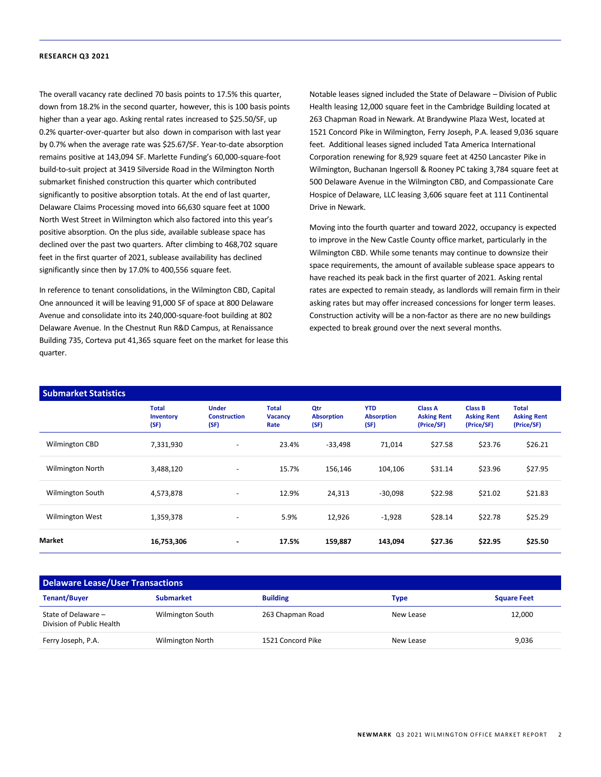The overall vacancy rate declined 70 basis points to 17.5% this quarter, down from 18.2% in the second quarter, however, this is 100 basis points higher than a year ago. Asking rental rates increased to \$25.50/SF, up 0.2% quarter-over-quarter but also down in comparison with last year by 0.7% when the average rate was \$25.67/SF. Year-to-date absorption remains positive at 143,094 SF. Marlette Funding's 60,000-square-foot build-to-suit project at 3419 Silverside Road in the Wilmington North submarket finished construction this quarter which contributed significantly to positive absorption totals. At the end of last quarter, Delaware Claims Processing moved into 66,630 square feet at 1000 North West Street in Wilmington which also factored into this year's positive absorption. On the plus side, available sublease space has declined over the past two quarters. After climbing to 468,702 square feet in the first quarter of 2021, sublease availability has declined significantly since then by 17.0% to 400,556 square feet.

In reference to tenant consolidations, in the Wilmington CBD, Capital One announced it will be leaving 91,000 SF of space at 800 Delaware Avenue and consolidate into its 240,000-square-foot building at 802 Delaware Avenue. In the Chestnut Run R&D Campus, at Renaissance Building 735, Corteva put 41,365 square feet on the market for lease this quarter.

Notable leases signed included the State of Delaware – Division of Public Health leasing 12,000 square feet in the Cambridge Building located at 263 Chapman Road in Newark. At Brandywine Plaza West, located at 1521 Concord Pike in Wilmington, Ferry Joseph, P.A. leased 9,036 square feet. Additional leases signed included Tata America International Corporation renewing for 8,929 square feet at 4250 Lancaster Pike in Wilmington, Buchanan Ingersoll & Rooney PC taking 3,784 square feet at 500 Delaware Avenue in the Wilmington CBD, and Compassionate Care Hospice of Delaware, LLC leasing 3,606 square feet at 111 Continental Drive in Newark.

Moving into the fourth quarter and toward 2022, occupancy is expected to improve in the New Castle County office market, particularly in the Wilmington CBD. While some tenants may continue to downsize their space requirements, the amount of available sublease space appears to have reached its peak back in the first quarter of 2021. Asking rental rates are expected to remain steady, as landlords will remain firm in their asking rates but may offer increased concessions for longer term leases. Construction activity will be a non-factor as there are no new buildings expected to break ground over the next several months.

| <b>Submarket Statistics</b> |                                   |                                             |                                        |                                  |                                         |                                                    |                                                    |                                                  |
|-----------------------------|-----------------------------------|---------------------------------------------|----------------------------------------|----------------------------------|-----------------------------------------|----------------------------------------------------|----------------------------------------------------|--------------------------------------------------|
|                             | <b>Total</b><br>Inventory<br>(SF) | <b>Under</b><br><b>Construction</b><br>(SF) | <b>Total</b><br><b>Vacancy</b><br>Rate | Qtr<br><b>Absorption</b><br>(SF) | <b>YTD</b><br><b>Absorption</b><br>(SF) | <b>Class A</b><br><b>Asking Rent</b><br>(Price/SF) | <b>Class B</b><br><b>Asking Rent</b><br>(Price/SF) | <b>Total</b><br><b>Asking Rent</b><br>(Price/SF) |
| Wilmington CBD              | 7,331,930                         | $\overline{\phantom{a}}$                    | 23.4%                                  | $-33,498$                        | 71,014                                  | \$27.58                                            | \$23.76                                            | \$26.21                                          |
| <b>Wilmington North</b>     | 3,488,120                         | $\overline{\phantom{a}}$                    | 15.7%                                  | 156,146                          | 104,106                                 | \$31.14                                            | \$23.96                                            | \$27.95                                          |
| <b>Wilmington South</b>     | 4,573,878                         | $\overline{\phantom{a}}$                    | 12.9%                                  | 24,313                           | $-30,098$                               | \$22.98                                            | \$21.02                                            | \$21.83                                          |
| <b>Wilmington West</b>      | 1,359,378                         | $\overline{\phantom{a}}$                    | 5.9%                                   | 12,926                           | $-1,928$                                | \$28.14                                            | \$22.78                                            | \$25.29                                          |
| Market                      | 16,753,306                        | ۰.                                          | 17.5%                                  | 159,887                          | 143,094                                 | \$27.36                                            | \$22.95                                            | \$25.50                                          |

### **Delaware Lease/User Transactions Tenant/Buyer Submarket Building Type Square Feet** State of Delaware – Division of Public Health Wilmington South 263 Chapman Road New Lease 12,000 Ferry Joseph, P.A. **Wilmington North 1521 Concord Pike** New Lease New Lease 9,036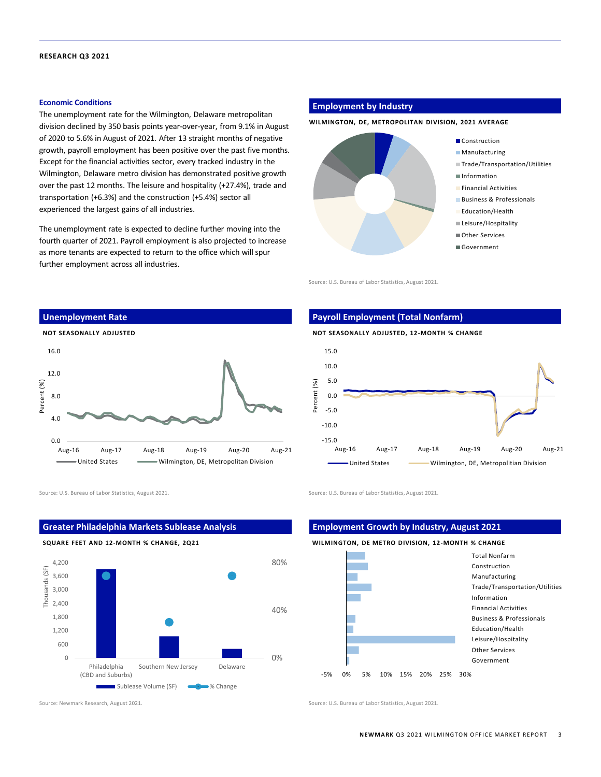#### **Economic Conditions**

The unemployment rate for the Wilmington, Delaware metropolitan division declined by 350 basis points year-over-year, from 9.1% in August of 2020 to 5.6% in August of 2021. After 13 straight months of negative growth, payroll employment has been positive over the past five months. Except for the financial activities sector, every tracked industry in the Wilmington, Delaware metro division has demonstrated positive growth over the past 12 months. The leisure and hospitality (+27.4%), trade and transportation (+6.3%) and the construction (+5.4%) sector all experienced the largest gains of all industries.

The unemployment rate is expected to decline further moving into the fourth quarter of 2021. Payroll employment is also projected to increase as more tenants are expected to return to the office which will spur further employment across all industries.

# **Employment by Industry**

#### **WILMINGTON, DE, METROPOLITAN DIVISION, 2021 AVERAGE**



Source: U.S. Bureau of Labor Statistics, August 2021.



### **Payroll Employment (Total Nonfarm)**





Source: U.S. Bureau of Labor Statistics, August 2021. Source: U.S. Bureau of Labor Statistics, August 2021.



Source: Newmark Research, August 2021. Source: U.S. Bureau of Labor Statistics, August 2021.

**Greater Philadelphia Markets Sublease Analysis**